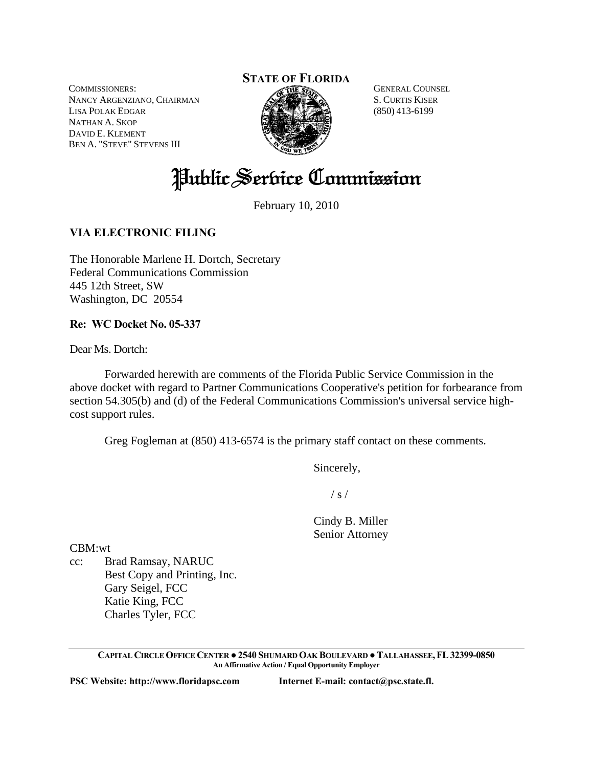COMMISSIONERS: NANCY ARGENZIANO, CHAIRMAN LISA POLAK EDGAR NATHAN A. SKOP DAVID E. KLEMENT BEN A. "STEVE" STEVENS III

# **STATE OF FLORIDA**



GENERAL COUNSEL S. CURTIS KISER (850) 413-6199

Public Service Commission

February 10, 2010

# **VIA ELECTRONIC FILING**

The Honorable Marlene H. Dortch, Secretary Federal Communications Commission 445 12th Street, SW Washington, DC 20554

### **Re: WC Docket No. 05-337**

Dear Ms. Dortch:

 Forwarded herewith are comments of the Florida Public Service Commission in the above docket with regard to Partner Communications Cooperative's petition for forbearance from section 54.305(b) and (d) of the Federal Communications Commission's universal service highcost support rules.

Greg Fogleman at (850) 413-6574 is the primary staff contact on these comments.

Sincerely,

 $\frac{1}{s}$  /

 Cindy B. Miller Senior Attorney

CBM:wt

cc: Brad Ramsay, NARUC Best Copy and Printing, Inc. Gary Seigel, FCC Katie King, FCC Charles Tyler, FCC

> **CAPITAL CIRCLE OFFICE CENTER ●2540 SHUMARD OAK BOULEVARD ●TALLAHASSEE,FL32399-0850 An Affirmative Action / Equal Opportunity Employer**

**PSC Website: http://www.floridapsc.com Internet E-mail: contact@psc.state.fl.**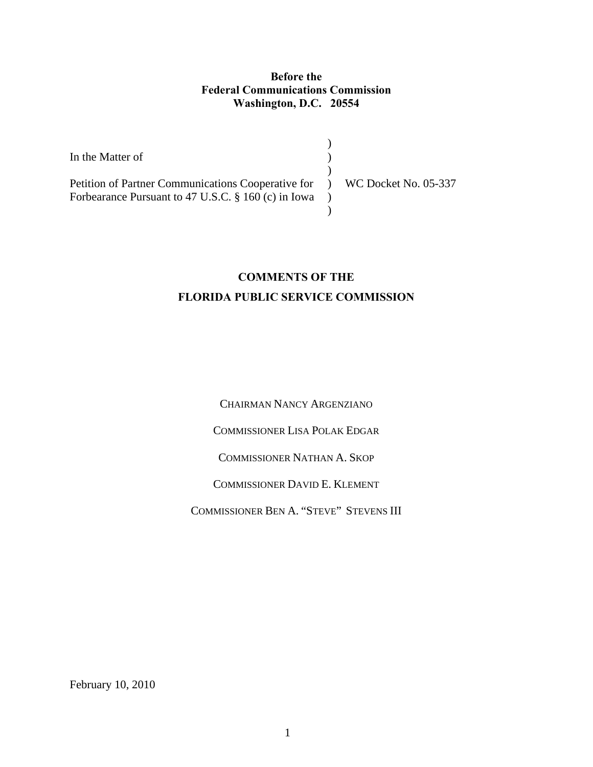## **Before the Federal Communications Commission Washington, D.C. 20554**

In the Matter of Petition of Partner Communications Cooperative for Forbearance Pursuant to 47 U.S.C. § 160 (c) in Iowa ) )  $\mathcal{L}$ ) WC Docket No. 05-337 )  $\mathcal{L}$ 

# **COMMENTS OF THE FLORIDA PUBLIC SERVICE COMMISSION**

CHAIRMAN NANCY ARGENZIANO

COMMISSIONER LISA POLAK EDGAR

COMMISSIONER NATHAN A. SKOP

COMMISSIONER DAVID E. KLEMENT

COMMISSIONER BEN A. "STEVE" STEVENS III

February 10, 2010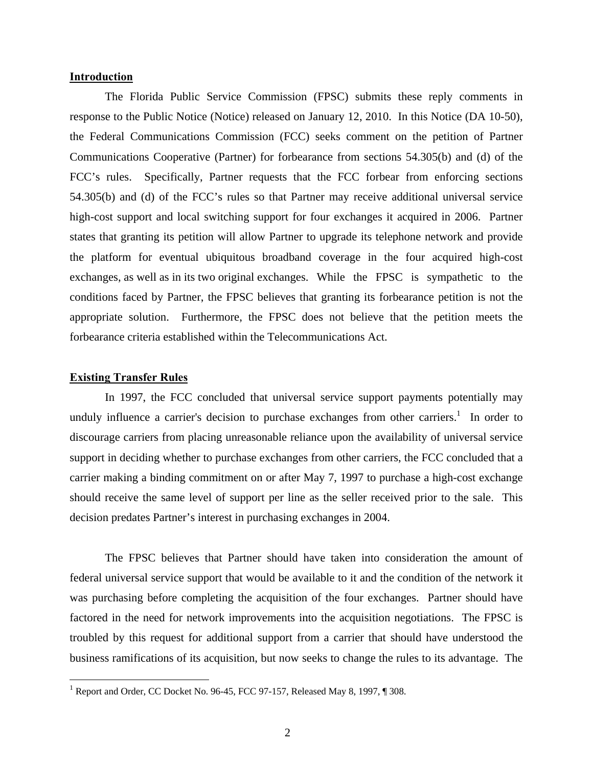#### **Introduction**

 The Florida Public Service Commission (FPSC) submits these reply comments in response to the Public Notice (Notice) released on January 12, 2010. In this Notice (DA 10-50), the Federal Communications Commission (FCC) seeks comment on the petition of Partner Communications Cooperative (Partner) for forbearance from sections 54.305(b) and (d) of the FCC's rules. Specifically, Partner requests that the FCC forbear from enforcing sections 54.305(b) and (d) of the FCC's rules so that Partner may receive additional universal service high-cost support and local switching support for four exchanges it acquired in 2006. Partner states that granting its petition will allow Partner to upgrade its telephone network and provide the platform for eventual ubiquitous broadband coverage in the four acquired high-cost exchanges, as well as in its two original exchanges. While the FPSC is sympathetic to the conditions faced by Partner, the FPSC believes that granting its forbearance petition is not the appropriate solution. Furthermore, the FPSC does not believe that the petition meets the forbearance criteria established within the Telecommunications Act.

#### **Existing Transfer Rules**

 $\overline{a}$ 

 In 1997, the FCC concluded that universal service support payments potentially may unduly influence a carrier's decision to purchase exchanges from other carriers.<sup>1</sup> In order to discourage carriers from placing unreasonable reliance upon the availability of universal service support in deciding whether to purchase exchanges from other carriers, the FCC concluded that a carrier making a binding commitment on or after May 7, 1997 to purchase a high-cost exchange should receive the same level of support per line as the seller received prior to the sale. This decision predates Partner's interest in purchasing exchanges in 2004.

 The FPSC believes that Partner should have taken into consideration the amount of federal universal service support that would be available to it and the condition of the network it was purchasing before completing the acquisition of the four exchanges. Partner should have factored in the need for network improvements into the acquisition negotiations. The FPSC is troubled by this request for additional support from a carrier that should have understood the business ramifications of its acquisition, but now seeks to change the rules to its advantage. The

<sup>&</sup>lt;sup>1</sup> Report and Order, CC Docket No. 96-45, FCC 97-157, Released May 8, 1997, ¶ 308.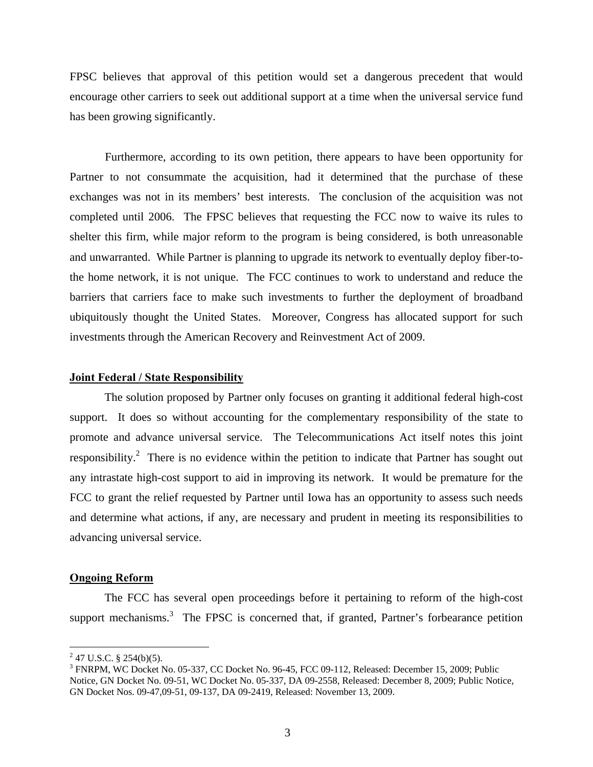FPSC believes that approval of this petition would set a dangerous precedent that would encourage other carriers to seek out additional support at a time when the universal service fund has been growing significantly.

 Furthermore, according to its own petition, there appears to have been opportunity for Partner to not consummate the acquisition, had it determined that the purchase of these exchanges was not in its members' best interests. The conclusion of the acquisition was not completed until 2006. The FPSC believes that requesting the FCC now to waive its rules to shelter this firm, while major reform to the program is being considered, is both unreasonable and unwarranted. While Partner is planning to upgrade its network to eventually deploy fiber-tothe home network, it is not unique. The FCC continues to work to understand and reduce the barriers that carriers face to make such investments to further the deployment of broadband ubiquitously thought the United States. Moreover, Congress has allocated support for such investments through the American Recovery and Reinvestment Act of 2009.

#### **Joint Federal / State Responsibility**

 The solution proposed by Partner only focuses on granting it additional federal high-cost support. It does so without accounting for the complementary responsibility of the state to promote and advance universal service. The Telecommunications Act itself notes this joint responsibility.<sup>2</sup> There is no evidence within the petition to indicate that Partner has sought out any intrastate high-cost support to aid in improving its network. It would be premature for the FCC to grant the relief requested by Partner until Iowa has an opportunity to assess such needs and determine what actions, if any, are necessary and prudent in meeting its responsibilities to advancing universal service.

#### **Ongoing Reform**

 The FCC has several open proceedings before it pertaining to reform of the high-cost support mechanisms.<sup>3</sup> The FPSC is concerned that, if granted, Partner's forbearance petition

 $\overline{a}$ 

 $2^2$  47 U.S.C. § 254(b)(5).

<sup>&</sup>lt;sup>3</sup> FNRPM, WC Docket No. 05-337, CC Docket No. 96-45, FCC 09-112, Released: December 15, 2009; Public Notice, GN Docket No. 09-51, WC Docket No. 05-337, DA 09-2558, Released: December 8, 2009; Public Notice, GN Docket Nos. 09-47,09-51, 09-137, DA 09-2419, Released: November 13, 2009.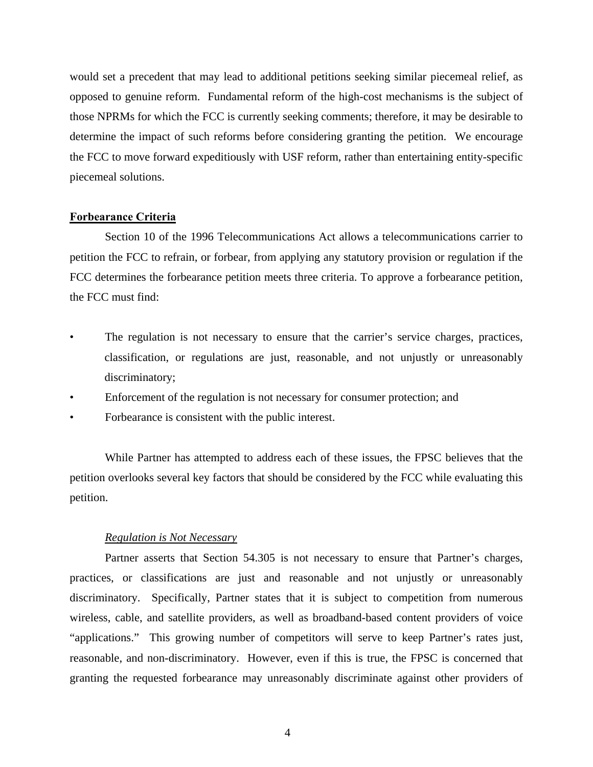would set a precedent that may lead to additional petitions seeking similar piecemeal relief, as opposed to genuine reform. Fundamental reform of the high-cost mechanisms is the subject of those NPRMs for which the FCC is currently seeking comments; therefore, it may be desirable to determine the impact of such reforms before considering granting the petition. We encourage the FCC to move forward expeditiously with USF reform, rather than entertaining entity-specific piecemeal solutions.

#### **Forbearance Criteria**

 Section 10 of the 1996 Telecommunications Act allows a telecommunications carrier to petition the FCC to refrain, or forbear, from applying any statutory provision or regulation if the FCC determines the forbearance petition meets three criteria. To approve a forbearance petition, the FCC must find:

- The regulation is not necessary to ensure that the carrier's service charges, practices, classification, or regulations are just, reasonable, and not unjustly or unreasonably discriminatory;
- Enforcement of the regulation is not necessary for consumer protection; and
- Forbearance is consistent with the public interest.

 While Partner has attempted to address each of these issues, the FPSC believes that the petition overlooks several key factors that should be considered by the FCC while evaluating this petition.

#### *Regulation is Not Necessary*

 Partner asserts that Section 54.305 is not necessary to ensure that Partner's charges, practices, or classifications are just and reasonable and not unjustly or unreasonably discriminatory. Specifically, Partner states that it is subject to competition from numerous wireless, cable, and satellite providers, as well as broadband-based content providers of voice "applications." This growing number of competitors will serve to keep Partner's rates just, reasonable, and non-discriminatory. However, even if this is true, the FPSC is concerned that granting the requested forbearance may unreasonably discriminate against other providers of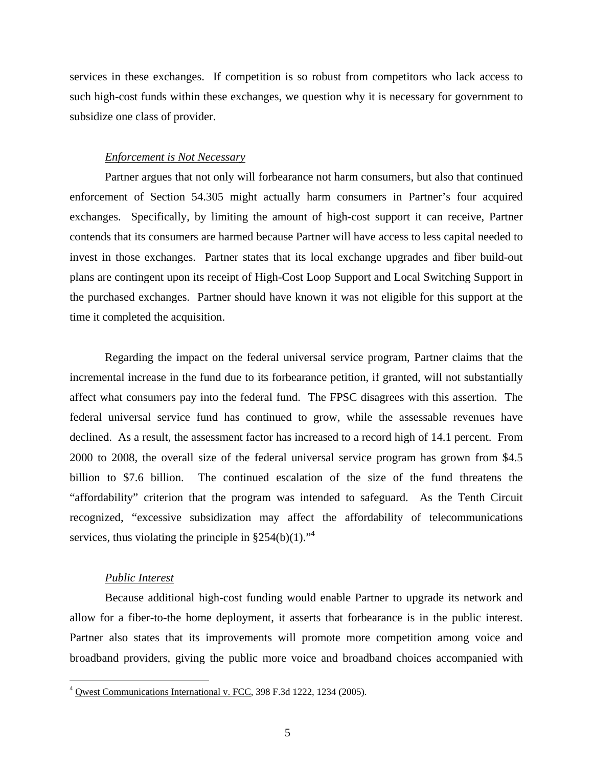services in these exchanges. If competition is so robust from competitors who lack access to such high-cost funds within these exchanges, we question why it is necessary for government to subsidize one class of provider.

#### *Enforcement is Not Necessary*

 Partner argues that not only will forbearance not harm consumers, but also that continued enforcement of Section 54.305 might actually harm consumers in Partner's four acquired exchanges. Specifically, by limiting the amount of high-cost support it can receive, Partner contends that its consumers are harmed because Partner will have access to less capital needed to invest in those exchanges. Partner states that its local exchange upgrades and fiber build-out plans are contingent upon its receipt of High-Cost Loop Support and Local Switching Support in the purchased exchanges. Partner should have known it was not eligible for this support at the time it completed the acquisition.

 Regarding the impact on the federal universal service program, Partner claims that the incremental increase in the fund due to its forbearance petition, if granted, will not substantially affect what consumers pay into the federal fund. The FPSC disagrees with this assertion. The federal universal service fund has continued to grow, while the assessable revenues have declined. As a result, the assessment factor has increased to a record high of 14.1 percent. From 2000 to 2008, the overall size of the federal universal service program has grown from \$4.5 billion to \$7.6 billion. The continued escalation of the size of the fund threatens the "affordability" criterion that the program was intended to safeguard. As the Tenth Circuit recognized, "excessive subsidization may affect the affordability of telecommunications services, thus violating the principle in  $\S 254(b)(1)$ ."<sup>4</sup>

#### *Public Interest*

<u>.</u>

 Because additional high-cost funding would enable Partner to upgrade its network and allow for a fiber-to-the home deployment, it asserts that forbearance is in the public interest. Partner also states that its improvements will promote more competition among voice and broadband providers, giving the public more voice and broadband choices accompanied with

<sup>&</sup>lt;sup>4</sup> Owest Communications International v. FCC, 398 F.3d 1222, 1234 (2005).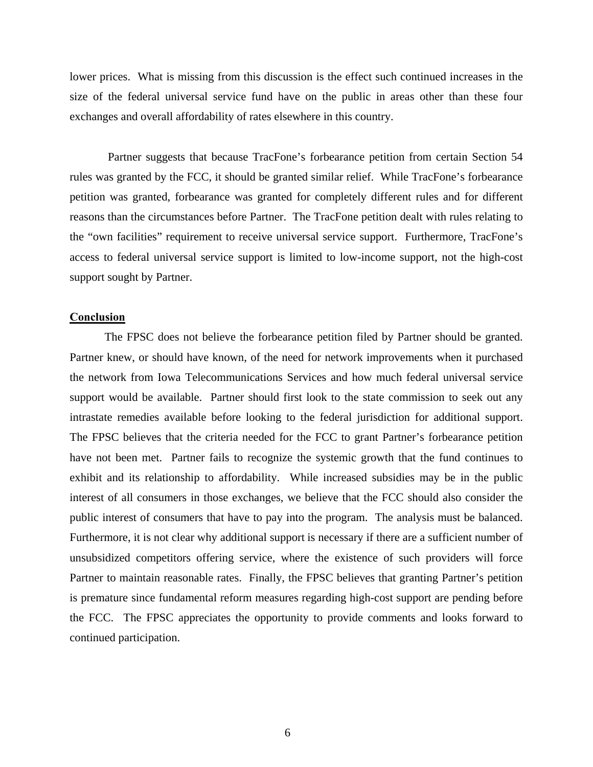lower prices. What is missing from this discussion is the effect such continued increases in the size of the federal universal service fund have on the public in areas other than these four exchanges and overall affordability of rates elsewhere in this country.

 Partner suggests that because TracFone's forbearance petition from certain Section 54 rules was granted by the FCC, it should be granted similar relief. While TracFone's forbearance petition was granted, forbearance was granted for completely different rules and for different reasons than the circumstances before Partner. The TracFone petition dealt with rules relating to the "own facilities" requirement to receive universal service support. Furthermore, TracFone's access to federal universal service support is limited to low-income support, not the high-cost support sought by Partner.

#### **Conclusion**

 The FPSC does not believe the forbearance petition filed by Partner should be granted. Partner knew, or should have known, of the need for network improvements when it purchased the network from Iowa Telecommunications Services and how much federal universal service support would be available. Partner should first look to the state commission to seek out any intrastate remedies available before looking to the federal jurisdiction for additional support. The FPSC believes that the criteria needed for the FCC to grant Partner's forbearance petition have not been met. Partner fails to recognize the systemic growth that the fund continues to exhibit and its relationship to affordability. While increased subsidies may be in the public interest of all consumers in those exchanges, we believe that the FCC should also consider the public interest of consumers that have to pay into the program. The analysis must be balanced. Furthermore, it is not clear why additional support is necessary if there are a sufficient number of unsubsidized competitors offering service, where the existence of such providers will force Partner to maintain reasonable rates. Finally, the FPSC believes that granting Partner's petition is premature since fundamental reform measures regarding high-cost support are pending before the FCC. The FPSC appreciates the opportunity to provide comments and looks forward to continued participation.